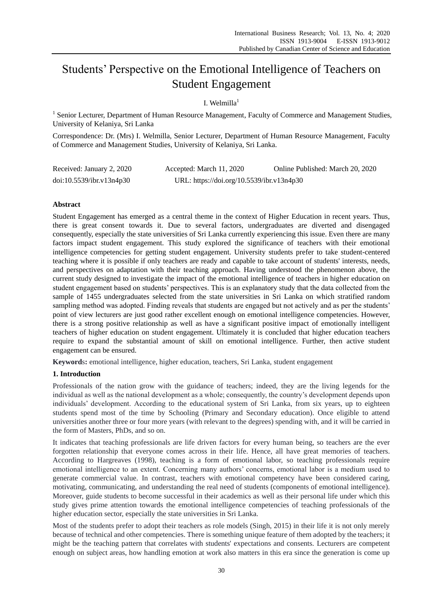# Students' Perspective on the Emotional Intelligence of Teachers on Student Engagement

# I. Welmilla $1$

<sup>1</sup> Senior Lecturer, Department of Human Resource Management, Faculty of Commerce and Management Studies, University of Kelaniya, Sri Lanka

Correspondence: Dr. (Mrs) I. Welmilla, Senior Lecturer, Department of Human Resource Management, Faculty of Commerce and Management Studies, University of Kelaniya, Sri Lanka.

| Received: January 2, 2020 | Accepted: March 11, 2020                  | Online Published: March 20, 2020 |
|---------------------------|-------------------------------------------|----------------------------------|
| doi:10.5539/ibr.v13n4p30  | URL: https://doi.org/10.5539/ibr.v13n4p30 |                                  |

# **Abstract**

Student Engagement has emerged as a central theme in the context of Higher Education in recent years. Thus, there is great consent towards it. Due to several factors, undergraduates are diverted and disengaged consequently, especially the state universities of Sri Lanka currently experiencing this issue. Even there are many factors impact student engagement. This study explored the significance of teachers with their emotional intelligence competencies for getting student engagement. University students prefer to take student-centered teaching where it is possible if only teachers are ready and capable to take account of students' interests, needs, and perspectives on adaptation with their teaching approach. Having understood the phenomenon above, the current study designed to investigate the impact of the emotional intelligence of teachers in higher education on student engagement based on students' perspectives. This is an explanatory study that the data collected from the sample of 1455 undergraduates selected from the state universities in Sri Lanka on which stratified random sampling method was adopted. Finding reveals that students are engaged but not actively and as per the students' point of view lecturers are just good rather excellent enough on emotional intelligence competencies. However, there is a strong positive relationship as well as have a significant positive impact of emotionally intelligent teachers of higher education on student engagement. Ultimately it is concluded that higher education teachers require to expand the substantial amount of skill on emotional intelligence. Further, then active student engagement can be ensured.

**Keyword**s**:** emotional intelligence, higher education, teachers, Sri Lanka, student engagement

# **1. Introduction**

Professionals of the nation grow with the guidance of teachers; indeed, they are the living legends for the individual as well as the national development as a whole; consequently, the country's development depends upon individuals' development. According to the educational system of Sri Lanka, from six years, up to eighteen students spend most of the time by Schooling (Primary and Secondary education). Once eligible to attend universities another three or four more years (with relevant to the degrees) spending with, and it will be carried in the form of Masters, PhDs, and so on.

It indicates that teaching professionals are life driven factors for every human being, so teachers are the ever forgotten relationship that everyone comes across in their life. Hence, all have great memories of teachers. According to Hargreaves (1998), teaching is a form of emotional labor, so teaching professionals require emotional intelligence to an extent. Concerning many authors' concerns, emotional labor is a medium used to generate commercial value. In contrast, teachers with emotional competency have been considered caring, motivating, communicating, and understanding the real need of students (components of emotional intelligence). Moreover, guide students to become successful in their academics as well as their personal life under which this study gives prime attention towards the emotional intelligence competencies of teaching professionals of the higher education sector, especially the state universities in Sri Lanka.

Most of the students prefer to adopt their teachers as role models (Singh, 2015) in their life it is not only merely because of technical and other competencies. There is something unique feature of them adopted by the teachers; it might be the teaching pattern that correlates with students' expectations and consents. Lecturers are competent enough on subject areas, how handling emotion at work also matters in this era since the generation is come up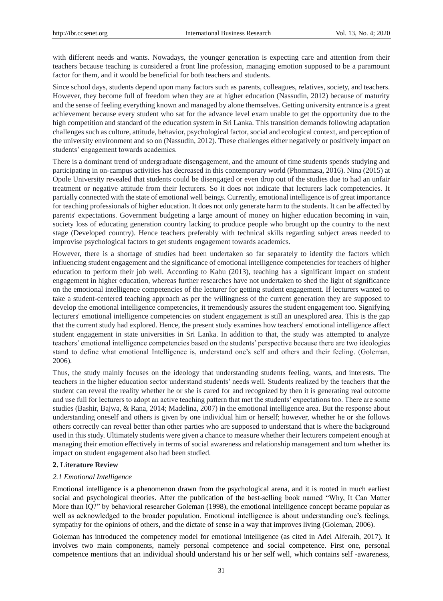with different needs and wants. Nowadays, the younger generation is expecting care and attention from their teachers because teaching is considered a front line profession, managing emotion supposed to be a paramount factor for them, and it would be beneficial for both teachers and students.

Since school days, students depend upon many factors such as parents, colleagues, relatives, society, and teachers. However, they become full of freedom when they are at higher education (Nassudin, 2012) because of maturity and the sense of feeling everything known and managed by alone themselves. Getting university entrance is a great achievement because every student who sat for the advance level exam unable to get the opportunity due to the high competition and standard of the education system in Sri Lanka. This transition demands following adaptation challenges such as culture, attitude, behavior, psychological factor, social and ecological context, and perception of the university environment and so on (Nassudin, 2012). These challenges either negatively or positively impact on students' engagement towards academics.

There is a dominant trend of undergraduate disengagement, and the amount of time students spends studying and participating in on-campus activities has decreased in this contemporary world (Phommasa, 2016). Nina (2015) at Opole University revealed that students could be disengaged or even drop out of the studies due to had an unfair treatment or negative attitude from their lecturers. So it does not indicate that lecturers lack competencies. It partially connected with the state of emotional well beings. Currently, emotional intelligence is of great importance for teaching professionals of higher education. It does not only generate harm to the students. It can be affected by parents' expectations. Government budgeting a large amount of money on higher education becoming in vain, society loss of educating generation country lacking to produce people who brought up the country to the next stage (Developed country). Hence teachers preferably with technical skills regarding subject areas needed to improvise psychological factors to get students engagement towards academics.

However, there is a shortage of studies had been undertaken so far separately to identify the factors which influencing student engagement and the significance of emotional intelligence competencies for teachers of higher education to perform their job well. According to Kahu (2013), teaching has a significant impact on student engagement in higher education, whereas further researches have not undertaken to shed the light of significance on the emotional intelligence competencies of the lecturer for getting student engagement. If lecturers wanted to take a student-centered teaching approach as per the willingness of the current generation they are supposed to develop the emotional intelligence competencies, it tremendously assures the student engagement too. Signifying lecturers' emotional intelligence competencies on student engagement is still an unexplored area. This is the gap that the current study had explored. Hence, the present study examines how teachers' emotional intelligence affect student engagement in state universities in Sri Lanka. In addition to that, the study was attempted to analyze teachers' emotional intelligence competencies based on the students' perspective because there are two ideologies stand to define what emotional Intelligence is, understand one's self and others and their feeling. (Goleman, 2006).

Thus, the study mainly focuses on the ideology that understanding students feeling, wants, and interests. The teachers in the higher education sector understand students' needs well. Students realized by the teachers that the student can reveal the reality whether he or she is cared for and recognized by then it is generating real outcome and use full for lecturers to adopt an active teaching pattern that met the students' expectations too. There are some studies (Bashir, Bajwa, & Rana, 2014; Madelina, 2007) in the emotional intelligence area. But the response about understanding oneself and others is given by one individual him or herself; however, whether he or she follows others correctly can reveal better than other parties who are supposed to understand that is where the background used in this study. Ultimately students were given a chance to measure whether their lecturers competent enough at managing their emotion effectively in terms of social awareness and relationship management and turn whether its impact on student engagement also had been studied.

# **2. Literature Review**

# *2.1 Emotional Intelligence*

Emotional intelligence is a phenomenon drawn from the psychological arena, and it is rooted in much earliest social and psychological theories. After the publication of the best-selling book named "Why, It Can Matter More than IQ?" by behavioral researcher Goleman (1998), the emotional intelligence concept became popular as well as acknowledged to the broader population. Emotional intelligence is about understanding one's feelings, sympathy for the opinions of others, and the dictate of sense in a way that improves living (Goleman, 2006).

Goleman has introduced the competency model for emotional intelligence (as cited in Adel Alferaih, 2017). It involves two main components, namely personal competence and social competence. First one, personal competence mentions that an individual should understand his or her self well, which contains self -awareness,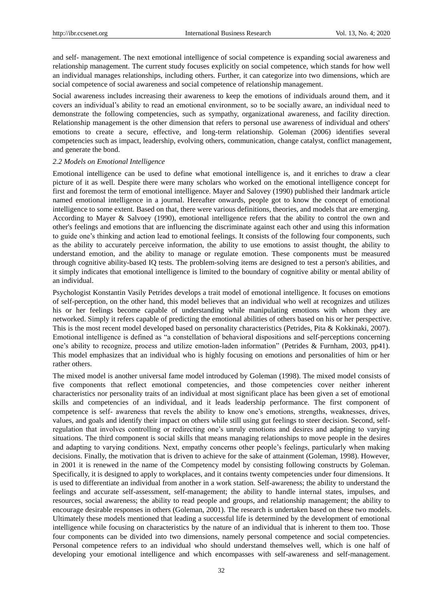and self- management. The next emotional intelligence of social competence is expanding social awareness and relationship management. The current study focuses explicitly on social competence, which stands for how well an individual manages relationships, including others. Further, it can categorize into two dimensions, which are social competence of social awareness and social competence of relationship management.

Social awareness includes increasing their awareness to keep the emotions of individuals around them, and it covers an individual's ability to read an emotional environment, so to be socially aware, an individual need to demonstrate the following competencies, such as sympathy, organizational awareness, and facility direction. Relationship management is the other dimension that refers to personal use awareness of individual and others' emotions to create a secure, effective, and long-term relationship. Goleman (2006) identifies several competencies such as impact, leadership, evolving others, communication, change catalyst, conflict management, and generate the bond.

#### *2.2 Models on Emotional Intelligence*

Emotional intelligence can be used to define what emotional intelligence is, and it enriches to draw a clear picture of it as well. Despite there were many scholars who worked on the emotional intelligence concept for first and foremost the term of emotional intelligence. Mayer and Salovey (1990) published their landmark article named emotional intelligence in a journal. Hereafter onwards, people got to know the concept of emotional intelligence to some extent. Based on that, there were various definitions, theories, and models that are emerging. According to Mayer & Salvoey (1990), emotional intelligence refers that the ability to control the own and other's feelings and emotions that are influencing the discriminate against each other and using this information to guide one's thinking and action lead to emotional feelings. It consists of the following four components, such as the ability to accurately perceive information, the ability to use emotions to assist thought, the ability to understand emotion, and the ability to manage or regulate emotion. These components must be measured through cognitive ability-based IQ tests. The problem-solving items are designed to test a person's abilities, and it simply indicates that emotional intelligence is limited to the boundary of cognitive ability or mental ability of an individual.

Psychologist Konstantin Vasily Petrides develops a trait model of emotional intelligence. It focuses on emotions of self-perception, on the other hand, this model believes that an individual who well at recognizes and utilizes his or her feelings become capable of understanding while manipulating emotions with whom they are networked. Simply it refers capable of predicting the emotional abilities of others based on his or her perspective. This is the most recent model developed based on personality characteristics (Petrides, Pita & Kokkinaki, 2007). Emotional intelligence is defined as "a constellation of behavioral dispositions and self-perceptions concerning one's ability to recognize, process and utilize emotion-laden information" (Petrides & Furnham, 2003, pp41). This model emphasizes that an individual who is highly focusing on emotions and personalities of him or her rather others.

The mixed model is another universal fame model introduced by Goleman (1998). The mixed model consists of five components that reflect emotional competencies, and those competencies cover neither inherent characteristics nor personality traits of an individual at most significant place has been given a set of emotional skills and competencies of an individual, and it leads leadership performance. The first component of competence is self- awareness that revels the ability to know one's emotions, strengths, weaknesses, drives, values, and goals and identify their impact on others while still using gut feelings to steer decision. Second, selfregulation that involves controlling or redirecting one's unruly emotions and desires and adapting to varying situations. The third component is social skills that means managing relationships to move people in the desires and adapting to varying conditions. Next, empathy concerns other people's feelings, particularly when making decisions. Finally, the motivation that is driven to achieve for the sake of attainment (Goleman, 1998). However, in 2001 it is renewed in the name of the Competency model by consisting following constructs by Goleman. Specifically, it is designed to apply to workplaces, and it contains twenty competencies under four dimensions. It is used to differentiate an individual from another in a work station. Self-awareness; the ability to understand the feelings and accurate self-assessment, self-management; the ability to handle internal states, impulses, and resources, social awareness; the ability to read people and groups, and relationship management; the ability to encourage desirable responses in others (Goleman, 2001). The research is undertaken based on these two models. Ultimately these models mentioned that leading a successful life is determined by the development of emotional intelligence while focusing on characteristics by the nature of an individual that is inherent to them too. Those four components can be divided into two dimensions, namely personal competence and social competencies. Personal competence refers to an individual who should understand themselves well, which is one half of developing your emotional intelligence and which encompasses with self-awareness and self-management.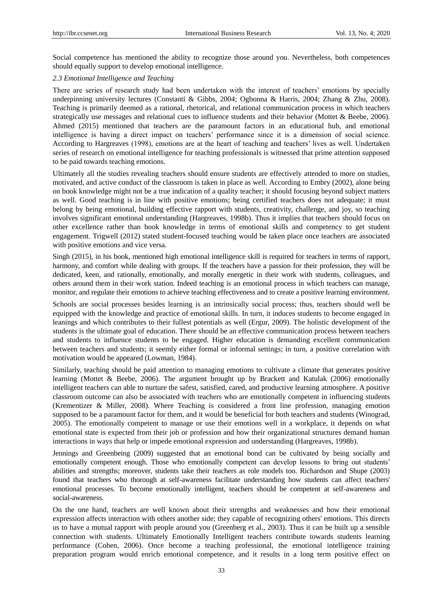Social competence has mentioned the ability to recognize those around you. Nevertheless, both competences should equally support to develop emotional intelligence.

## *2.3 Emotional Intelligence and Teaching*

There are series of research study had been undertaken with the interest of teachers' emotions by specially underpinning university lectures (Constanti & Gibbs, 2004; Ogbonna & Harris, 2004; Zhang & Zhu, 2008). Teaching is primarily deemed as a rational, rhetorical, and relational communication process in which teachers strategically use messages and relational cues to influence students and their behavior (Mottet & Beebe, 2006). Ahmed (2015) mentioned that teachers are the paramount factors in an educational hub, and emotional intelligence is having a direct impact on teachers' performance since it is a dimension of social science. According to Hargreaves (1998), emotions are at the heart of teaching and teachers' lives as well. Undertaken series of research on emotional intelligence for teaching professionals is witnessed that prime attention supposed to be paid towards teaching emotions.

Ultimately all the studies revealing teachers should ensure students are effectively attended to more on studies, motivated, and active conduct of the classroom is taken in place as well. According to Embry (2002), alone being on book knowledge might not be a true indication of a quality teacher; it should focusing beyond subject matters as well. Good teaching is in line with positive emotions; being certified teachers does not adequate; it must belong by being emotional, building effective rapport with students, creativity, challenge, and joy, so teaching involves significant emotional understanding (Hargreaves, 1998b). Thus it implies that teachers should focus on other excellence rather than book knowledge in terms of emotional skills and competency to get student engagement. Trigwell (2012) stated student-focused teaching would be taken place once teachers are associated with positive emotions and vice versa.

Singh (2015), in his book, mentioned high emotional intelligence skill is required for teachers in terms of rapport, harmony, and comfort while dealing with groups. If the teachers have a passion for their profession, they will be dedicated, keen, and rationally, emotionally, and morally energetic in their work with students, colleagues, and others around them in their work station. Indeed teaching is an emotional process in which teachers can manage, monitor, and regulate their emotions to achieve teaching effectiveness and to create a positive learning environment.

Schools are social processes besides learning is an intrinsically social process; thus, teachers should well be equipped with the knowledge and practice of emotional skills. In turn, it induces students to become engaged in leanings and which contributes to their fullest potentials as well (Ergur, 2009). The holistic development of the students is the ultimate goal of education. There should be an effective communication process between teachers and students to influence students to be engaged. Higher education is demanding excellent communication between teachers and students; it seemly either formal or informal settings; in turn, a positive correlation with motivation would be appeared (Lowman, 1984).

Similarly, teaching should be paid attention to managing emotions to cultivate a climate that generates positive learning (Mottet & Beebe, 2006). The argument brought up by Brackett and Katulak (2006) emotionally intelligent teachers can able to nurture the safest, satisfied, cared, and productive learning atmosphere. A positive classroom outcome can also be associated with teachers who are emotionally competent in influencing students (Krementizer & Miller, 2008). Where Teaching is considered a front line profession, managing emotion supposed to be a paramount factor for them, and it would be beneficial for both teachers and students (Winograd, 2005). The emotionally competent to manage or use their emotions well in a workplace, it depends on what emotional state is expected from their job or profession and how their organizational structures demand human interactions in ways that help or impede emotional expression and understanding (Hargreaves, 1998b).

Jennings and Greenbeing (2009) suggested that an emotional bond can be cultivated by being socially and emotionally competent enough. Those who emotionally competent can develop lessons to bring out students' abilities and strengths; moreover, students take their teachers as role models too. Richardson and Shupe (2003) found that teachers who thorough at self-awareness facilitate understanding how students can affect teachers' emotional processes. To become emotionally intelligent, teachers should be competent at self-awareness and social-awareness.

On the one hand, teachers are well known about their strengths and weaknesses and how their emotional expression affects interaction with others another side; they capable of recognizing others' emotions. This directs us to have a mutual rapport with people around you (Greenberg et al., 2003). Thus it can be built up a sensible connection with students. Ultimately Emotionally Intelligent teachers contribute towards students learning performance (Cohen, 2006). Once become a teaching professional, the emotional intelligence training preparation program would enrich emotional competence, and it results in a long term positive effect on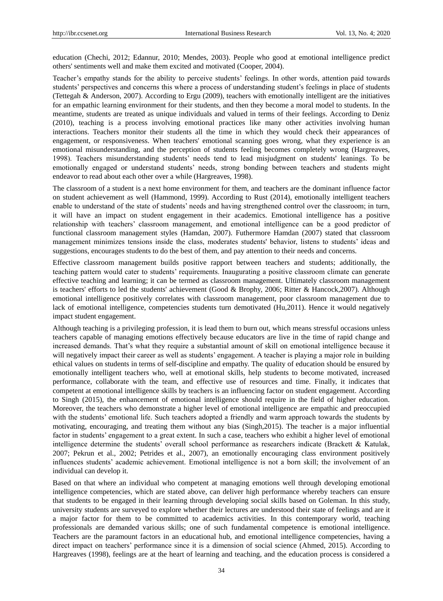education (Chechi, 2012; Edannur, 2010; Mendes, 2003). People who good at emotional intelligence predict others' sentiments well and make them excited and motivated (Cooper, 2004).

Teacher's empathy stands for the ability to perceive students' feelings. In other words, attention paid towards students' perspectives and concerns this where a process of understanding student's feelings in place of students (Tettegah & Anderson, 2007). According to Ergu (2009), teachers with emotionally intelligent are the initiatives for an empathic learning environment for their students, and then they become a moral model to students. In the meantime, students are treated as unique individuals and valued in terms of their feelings. According to Deniz (2010), teaching is a process involving emotional practices like many other activities involving human interactions. Teachers monitor their students all the time in which they would check their appearances of engagement, or responsiveness. When teachers' emotional scanning goes wrong, what they experience is an emotional misunderstanding, and the perception of students feeling becomes completely wrong (Hargreaves, 1998). Teachers misunderstanding students' needs tend to lead misjudgment on students' leanings. To be emotionally engaged or understand students' needs, strong bonding between teachers and students might endeavor to read about each other over a while (Hargreaves, 1998).

The classroom of a student is a next home environment for them, and teachers are the dominant influence factor on student achievement as well (Hammond, 1999). According to Rust (2014), emotionally intelligent teachers enable to understand of the state of students' needs and having strengthened control over the classroom; in turn, it will have an impact on student engagement in their academics. Emotional intelligence has a positive relationship with teachers' classroom management, and emotional intelligence can be a good predictor of functional classroom management styles (Hamdan, 2007). Futhermore Hamdan (2007) stated that classroom management minimizes tensions inside the class, moderates students' behavior, listens to students' ideas and suggestions, encourages students to do the best of them, and pay attention to their needs and concerns.

Effective classroom management builds positive rapport between teachers and students; additionally, the teaching pattern would cater to students' requirements. Inaugurating a positive classroom climate can generate effective teaching and learning; it can be termed as classroom management. Ultimately classroom management is teachers' efforts to led the students' achievement (Good & Brophy, 2006; Ritter & Hancock,2007). Although emotional intelligence positively correlates with classroom management, poor classroom management due to lack of emotional intelligence, competencies students turn demotivated (Hu,2011). Hence it would negatively impact student engagement.

Although teaching is a privileging profession, it is lead them to burn out, which means stressful occasions unless teachers capable of managing emotions effectively because educators are live in the time of rapid change and increased demands. That's what they require a substantial amount of skill on emotional intelligence because it will negatively impact their career as well as students' engagement. A teacher is playing a major role in building ethical values on students in terms of self-discipline and empathy. The quality of education should be ensured by emotionally intelligent teachers who, well at emotional skills, help students to become motivated, increased performance, collaborate with the team, and effective use of resources and time. Finally, it indicates that competent at emotional intelligence skills by teachers is an influencing factor on student engagement. According to Singh (2015), the enhancement of emotional intelligence should require in the field of higher education. Moreover, the teachers who demonstrate a higher level of emotional intelligence are empathic and preoccupied with the students' emotional life. Such teachers adopted a friendly and warm approach towards the students by motivating, encouraging, and treating them without any bias (Singh,2015). The teacher is a major influential factor in students' engagement to a great extent. In such a case, teachers who exhibit a higher level of emotional intelligence determine the students' overall school performance as researchers indicate (Brackett & Katulak, 2007; Pekrun et al., 2002; Petrides et al., 2007), an emotionally encouraging class environment positively influences students' academic achievement. Emotional intelligence is not a born skill; the involvement of an individual can develop it.

Based on that where an individual who competent at managing emotions well through developing emotional intelligence competencies, which are stated above, can deliver high performance whereby teachers can ensure that students to be engaged in their learning through developing social skills based on Goleman. In this study, university students are surveyed to explore whether their lectures are understood their state of feelings and are it a major factor for them to be committed to academics activities. In this contemporary world, teaching professionals are demanded various skills; one of such fundamental competence is emotional intelligence. Teachers are the paramount factors in an educational hub, and emotional intelligence competencies, having a direct impact on teachers' performance since it is a dimension of social science (Ahmed, 2015). According to Hargreaves (1998), feelings are at the heart of learning and teaching, and the education process is considered a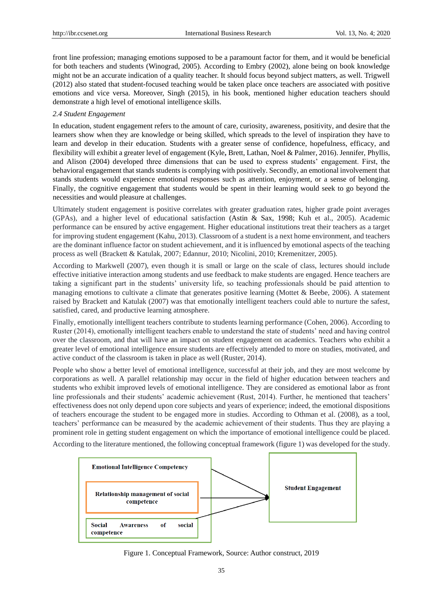front line profession; managing emotions supposed to be a paramount factor for them, and it would be beneficial for both teachers and students (Winograd, 2005). According to Embry (2002), alone being on book knowledge might not be an accurate indication of a quality teacher. It should focus beyond subject matters, as well. Trigwell (2012) also stated that student-focused teaching would be taken place once teachers are associated with positive emotions and vice versa. Moreover, Singh (2015), in his book, mentioned higher education teachers should demonstrate a high level of emotional intelligence skills.

# *2.4 Student Engagement*

In education, student engagement refers to the amount of care, curiosity, awareness, positivity, and desire that the learners show when they are knowledge or being skilled, which spreads to the level of inspiration they have to learn and develop in their education. Students with a greater sense of confidence, hopefulness, efficacy, and flexibility will exhibit a greater level of engagement (Kyle**,** Brett, Lathan, Noel & Palmer, 2016). Jennifer, Phyllis, and Alison (2004) developed three dimensions that can be used to express students' engagement. First, the behavioral engagement that stands students is complying with positively. Secondly, an emotional involvement that stands students would experience emotional responses such as attention, enjoyment, or a sense of belonging. Finally, the cognitive engagement that students would be spent in their learning would seek to go beyond the necessities and would pleasure at challenges.

Ultimately student engagement is positive correlates with greater graduation rates, higher grade point averages (GPAs), and a higher level of educational satisfaction (Astin & Sax, 1998; Kuh et al., 2005). Academic performance can be ensured by active engagement. Higher educational institutions treat their teachers as a target for improving student engagement (Kahu, 2013). Classroom of a student is a next home environment, and teachers are the dominant influence factor on student achievement, and it is influenced by emotional aspects of the teaching process as well (Brackett & Katulak, 2007; Edannur, 2010; Nicolini, 2010; Kremenitzer, 2005).

According to Markwell (2007), even though it is small or large on the scale of class, lectures should include effective initiative interaction among students and use feedback to make students are engaged. Hence teachers are taking a significant part in the students' university life, so teaching professionals should be paid attention to managing emotions to cultivate a climate that generates positive learning (Mottet & Beebe, 2006). A statement raised by Brackett and Katulak (2007) was that emotionally intelligent teachers could able to nurture the safest, satisfied, cared, and productive learning atmosphere.

Finally, emotionally intelligent teachers contribute to students learning performance (Cohen, 2006). According to Ruster (2014), emotionally intelligent teachers enable to understand the state of students' need and having control over the classroom, and that will have an impact on student engagement on academics. Teachers who exhibit a greater level of emotional intelligence ensure students are effectively attended to more on studies, motivated, and active conduct of the classroom is taken in place as well (Ruster, 2014).

People who show a better level of emotional intelligence, successful at their job, and they are most welcome by corporations as well. A parallel relationship may occur in the field of higher education between teachers and students who exhibit improved levels of emotional intelligence. They are considered as emotional labor as front line professionals and their students' academic achievement (Rust, 2014). Further, he mentioned that teachers' effectiveness does not only depend upon core subjects and years of experience; indeed, the emotional dispositions of teachers encourage the student to be engaged more in studies. According to Othman et al. (2008), as a tool, teachers' performance can be measured by the academic achievement of their students. Thus they are playing a prominent role in getting student engagement on which the importance of emotional intelligence could be placed.

According to the literature mentioned, the following conceptual framework (figure 1) was developed for the study.



Figure 1. Conceptual Framework, Source: Author construct, 2019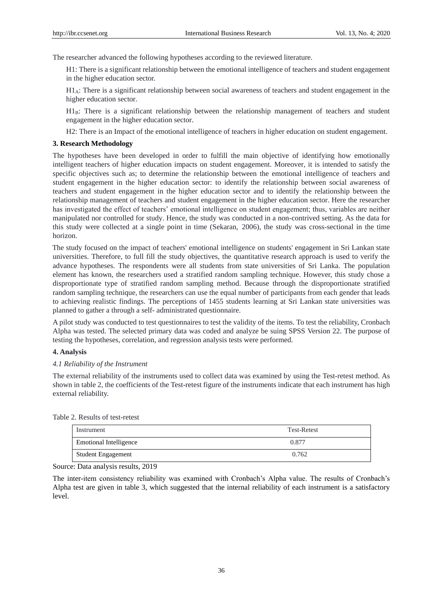The researcher advanced the following hypotheses according to the reviewed literature.

H1: There is a significant relationship between the emotional intelligence of teachers and student engagement in the higher education sector.

 $H_4$ : There is a significant relationship between social awareness of teachers and student engagement in the higher education sector.

 $H1_B$ : There is a significant relationship between the relationship management of teachers and student engagement in the higher education sector.

H2: There is an Impact of the emotional intelligence of teachers in higher education on student engagement.

# **3. Research Methodology**

The hypotheses have been developed in order to fulfill the main objective of identifying how emotionally intelligent teachers of higher education impacts on student engagement. Moreover, it is intended to satisfy the specific objectives such as; to determine the relationship between the emotional intelligence of teachers and student engagement in the higher education sector: to identify the relationship between social awareness of teachers and student engagement in the higher education sector and to identify the relationship between the relationship management of teachers and student engagement in the higher education sector. Here the researcher has investigated the effect of teachers' emotional intelligence on student engagement; thus, variables are neither manipulated nor controlled for study. Hence, the study was conducted in a non-contrived setting. As the data for this study were collected at a single point in time (Sekaran, 2006), the study was cross-sectional in the time horizon.

The study focused on the impact of teachers' emotional intelligence on students' engagement in Sri Lankan state universities. Therefore, to full fill the study objectives, the quantitative research approach is used to verify the advance hypotheses. The respondents were all students from state universities of Sri Lanka. The population element has known, the researchers used a stratified random sampling technique. However, this study chose a disproportionate type of stratified random sampling method. Because through the disproportionate stratified random sampling technique, the researchers can use the equal number of participants from each gender that leads to achieving realistic findings. The perceptions of 1455 students learning at Sri Lankan state universities was planned to gather a through a self- administrated questionnaire.

A pilot study was conducted to test questionnaires to test the validity of the items. To test the reliability, Cronbach Alpha was tested. The selected primary data was coded and analyze be suing SPSS Version 22. The purpose of testing the hypotheses, correlation, and regression analysis tests were performed.

#### **4. Analysis**

#### *4.1 Reliability of the Instrument*

The external reliability of the instruments used to collect data was examined by using the Test-retest method. As shown in table 2, the coefficients of the Test-retest figure of the instruments indicate that each instrument has high external reliability.

Table 2. Results of test-retest

| Instrument                    | <b>Test-Retest</b> |
|-------------------------------|--------------------|
| <b>Emotional Intelligence</b> | 0.877              |
| <b>Student Engagement</b>     | 0.762              |

Source: Data analysis results, 2019

The inter-item consistency reliability was examined with Cronbach's Alpha value. The results of Cronbach's Alpha test are given in table 3, which suggested that the internal reliability of each instrument is a satisfactory level.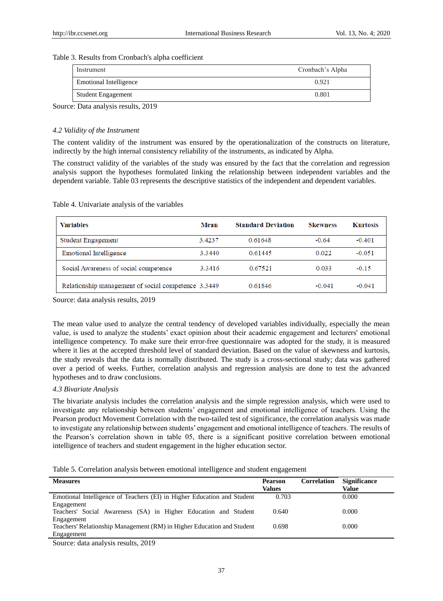## Table 3. Results from Cronbach's alpha coefficient

| Instrument                    | Cronbach's Alpha |  |  |
|-------------------------------|------------------|--|--|
| <b>Emotional Intelligence</b> | 0.921            |  |  |
| <b>Student Engagement</b>     | 0.801            |  |  |
| 1.0010<br>$\mathbf{r}$        |                  |  |  |

Source: Data analysis results, 2019

# *4.2 Validity of the Instrument*

The content validity of the instrument was ensured by the operationalization of the constructs on literature, indirectly by the high internal consistency reliability of the instruments, as indicated by Alpha.

The construct validity of the variables of the study was ensured by the fact that the correlation and regression analysis support the hypotheses formulated linking the relationship between independent variables and the dependent variable. Table 03 represents the descriptive statistics of the independent and dependent variables.

| <b>Variables</b>                                    | Mean   | <b>Standard Deviation</b> | <b>Skewness</b> | <b>Kurtosis</b> |
|-----------------------------------------------------|--------|---------------------------|-----------------|-----------------|
| <b>Student Engagement</b>                           | 3.4237 | 0.61648                   | $-0.64$         | $-0.401$        |
| <b>Emotional Intelligence</b>                       | 3.3440 | 0.61445                   | 0.022           | $-0.051$        |
| Social Awareness of social competence               | 3.3416 | 0.67521                   | 0.033           | $-0.15$         |
| Relationship management of social competence 3.3449 |        | 0.61846                   | $-0.041$        | $-0.041$        |

Table 4. Univariate analysis of the variables

Source: data analysis results, 2019

The mean value used to analyze the central tendency of developed variables individually, especially the mean value, is used to analyze the students' exact opinion about their academic engagement and lecturers' emotional intelligence competency. To make sure their error-free questionnaire was adopted for the study, it is measured where it lies at the accepted threshold level of standard deviation. Based on the value of skewness and kurtosis, the study reveals that the data is normally distributed. The study is a cross-sectional study; data was gathered over a period of weeks. Further, correlation analysis and regression analysis are done to test the advanced hypotheses and to draw conclusions.

# *4.3 Bivariate Analysis*

The bivariate analysis includes the correlation analysis and the simple regression analysis, which were used to investigate any relationship between students' engagement and emotional intelligence of teachers. Using the Pearson product Movement Correlation with the two-tailed test of significance, the correlation analysis was made to investigate any relationship between students' engagement and emotional intelligence of teachers. The results of the Pearson's correlation shown in table 05, there is a significant positive correlation between emotional intelligence of teachers and student engagement in the higher education sector.

|  |  |  | Table 5. Correlation analysis between emotional intelligence and student engagement |
|--|--|--|-------------------------------------------------------------------------------------|
|  |  |  |                                                                                     |

| <b>Measures</b>                                                         | <b>Pearson</b><br>Values | <b>Correlation</b> | <b>Significance</b><br>Value |
|-------------------------------------------------------------------------|--------------------------|--------------------|------------------------------|
|                                                                         |                          |                    |                              |
| Emotional Intelligence of Teachers (EI) in Higher Education and Student | 0.703                    |                    | 0.000                        |
| Engagement                                                              |                          |                    |                              |
| Teachers' Social Awareness (SA) in Higher Education and Student         | 0.640                    |                    | 0.000                        |
| Engagement                                                              |                          |                    |                              |
| Teachers' Relationship Management (RM) in Higher Education and Student  | 0.698                    |                    | 0.000                        |
| Engagement                                                              |                          |                    |                              |

Source: data analysis results, 2019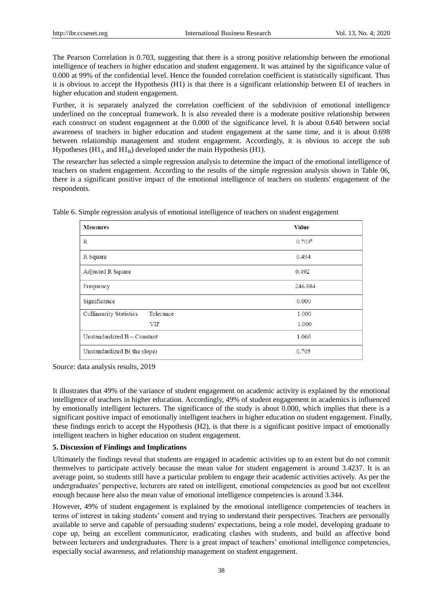The Pearson Correlation is 0.703, suggesting that there is a strong positive relationship between the emotional intelligence of teachers in higher education and student engagement. It was attained by the significance value of 0.000 at 99% of the confidential level. Hence the founded correlation coefficient is statistically significant. Thus it is obvious to accept the Hypothesis (H1) is that there is a significant relationship between EI of teachers in higher education and student engagement.

Further, it is separately analyzed the correlation coefficient of the subdivision of emotional intelligence underlined on the conceptual framework. It is also revealed there is a moderate positive relationship between each construct on student engagement at the 0.000 of the significance level. It is about 0.640 between social awareness of teachers in higher education and student engagement at the same time, and it is about 0.698 between relationship management and student engagement. Accordingly, it is obvious to accept the sub Hypotheses (H1<sub>A</sub> and H1<sub>B</sub>) developed under the main Hypothesis (H1).

The researcher has selected a simple regression analysis to determine the impact of the emotional intelligence of teachers on student engagement. According to the results of the simple regression analysis shown in Table 06, there is a significant positive impact of the emotional intelligence of teachers on students' engagement of the respondents.

| <b>Measures</b>                             | <b>Value</b> |
|---------------------------------------------|--------------|
| R                                           | $0.703^{a}$  |
| R Square                                    | 0.494        |
| <b>Adjusted R Square</b>                    | 0.492        |
| Frequency                                   | 246.884      |
| Significance                                | 0.000        |
| <b>Collinearity Statistics</b><br>Tolerance | 1.000        |
| <b>VIF</b>                                  | 1.000        |
| Unstandardized B - Constant                 | 1.066        |
| Unstandardized B(the slope)                 | 0.705        |

Table 6. Simple regression analysis of emotional intelligence of teachers on student engagement

Source: data analysis results, 2019

It illustrates that 49% of the variance of student engagement on academic activity is explained by the emotional intelligence of teachers in higher education. Accordingly, 49% of student engagement in academics is influenced by emotionally intelligent lecturers. The significance of the study is about 0.000, which implies that there is a significant positive impact of emotionally intelligent teachers in higher education on student engagement. Finally, these findings enrich to accept the Hypothesis (H2), is that there is a significant positive impact of emotionally intelligent teachers in higher education on student engagement.

# **5. Discussion of Findings and Implications**

Ultimately the findings reveal that students are engaged in academic activities up to an extent but do not commit themselves to participate actively because the mean value for student engagement is around 3.4237. It is an average point, so students still have a particular problem to engage their academic activities actively. As per the undergraduates' perspective, lecturers are rated on intelligent, emotional competencies as good but not excellent enough because here also the mean value of emotional intelligence competencies is around 3.344.

However, 49% of student engagement is explained by the emotional intelligence competencies of teachers in terms of interest in taking students' consent and trying to understand their perspectives. Teachers are personally available to serve and capable of persuading students' expectations, being a role model, developing graduate to cope up, being an excellent communicator, eradicating clashes with students, and build an affective bond between lecturers and undergraduates. There is a great impact of teachers' emotional intelligence competencies, especially social awareness, and relationship management on student engagement.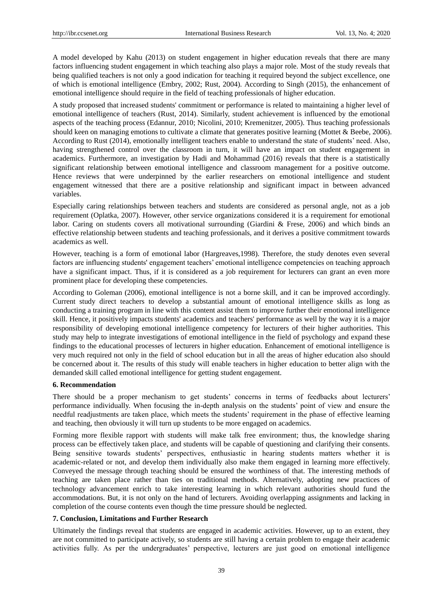A model developed by Kahu (2013) on student engagement in higher education reveals that there are many factors influencing student engagement in which teaching also plays a major role. Most of the study reveals that being qualified teachers is not only a good indication for teaching it required beyond the subject excellence, one of which is emotional intelligence (Embry, 2002; Rust, 2004). According to Singh (2015), the enhancement of emotional intelligence should require in the field of teaching professionals of higher education.

A study proposed that increased students' commitment or performance is related to maintaining a higher level of emotional intelligence of teachers (Rust, 2014). Similarly, student achievement is influenced by the emotional aspects of the teaching process (Edannur, 2010; Nicolini, 2010; Kremenitzer, 2005). Thus teaching professionals should keen on managing emotions to cultivate a climate that generates positive learning (Mottet & Beebe, 2006). According to Rust (2014), emotionally intelligent teachers enable to understand the state of students' need. Also, having strengthened control over the classroom in turn, it will have an impact on student engagement in academics. Furthermore, an investigation by Hadi and Mohammad (2016) reveals that there is a statistically significant relationship between emotional intelligence and classroom management for a positive outcome. Hence reviews that were underpinned by the earlier researchers on emotional intelligence and student engagement witnessed that there are a positive relationship and significant impact in between advanced variables.

Especially caring relationships between teachers and students are considered as personal angle, not as a job requirement (Oplatka, 2007). However, other service organizations considered it is a requirement for emotional labor. Caring on students covers all motivational surrounding (Giardini & Frese, 2006) and which binds an effective relationship between students and teaching professionals, and it derives a positive commitment towards academics as well.

However, teaching is a form of emotional labor (Hargreaves,1998). Therefore, the study denotes even several factors are influencing students' engagement teachers' emotional intelligence competencies on teaching approach have a significant impact. Thus, if it is considered as a job requirement for lecturers can grant an even more prominent place for developing these competencies.

According to Goleman (2006), emotional intelligence is not a borne skill, and it can be improved accordingly. Current study direct teachers to develop a substantial amount of emotional intelligence skills as long as conducting a training program in line with this content assist them to improve further their emotional intelligence skill. Hence, it positively impacts students' academics and teachers' performance as well by the way it is a major responsibility of developing emotional intelligence competency for lecturers of their higher authorities. This study may help to integrate investigations of emotional intelligence in the field of psychology and expand these findings to the educational processes of lecturers in higher education. Enhancement of emotional intelligence is very much required not only in the field of school education but in all the areas of higher education also should be concerned about it. The results of this study will enable teachers in higher education to better align with the demanded skill called emotional intelligence for getting student engagement.

## **6. Recommendation**

There should be a proper mechanism to get students' concerns in terms of feedbacks about lecturers' performance individually. When focusing the in-depth analysis on the students' point of view and ensure the needful readjustments are taken place, which meets the students' requirement in the phase of effective learning and teaching, then obviously it will turn up students to be more engaged on academics.

Forming more flexible rapport with students will make talk free environment; thus, the knowledge sharing process can be effectively taken place, and students will be capable of questioning and clarifying their consents. Being sensitive towards students' perspectives, enthusiastic in hearing students matters whether it is academic-related or not, and develop them individually also make them engaged in learning more effectively. Conveyed the message through teaching should be ensured the worthiness of that. The interesting methods of teaching are taken place rather than ties on traditional methods. Alternatively, adopting new practices of technology advancement enrich to take interesting learning in which relevant authorities should fund the accommodations. But, it is not only on the hand of lecturers. Avoiding overlapping assignments and lacking in completion of the course contents even though the time pressure should be neglected.

## **7. Conclusion, Limitations and Further Research**

Ultimately the findings reveal that students are engaged in academic activities. However, up to an extent, they are not committed to participate actively, so students are still having a certain problem to engage their academic activities fully. As per the undergraduates' perspective, lecturers are just good on emotional intelligence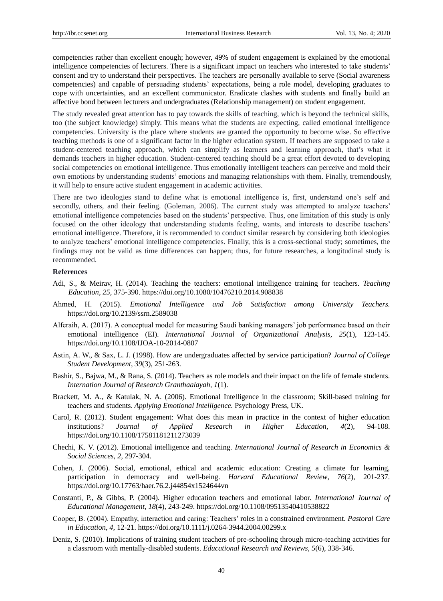competencies rather than excellent enough; however, 49% of student engagement is explained by the emotional intelligence competencies of lecturers. There is a significant impact on teachers who interested to take students' consent and try to understand their perspectives. The teachers are personally available to serve (Social awareness competencies) and capable of persuading students' expectations, being a role model, developing graduates to cope with uncertainties, and an excellent communicator. Eradicate clashes with students and finally build an affective bond between lecturers and undergraduates (Relationship management) on student engagement.

The study revealed great attention has to pay towards the skills of teaching, which is beyond the technical skills, too (the subject knowledge) simply. This means what the students are expecting, called emotional intelligence competencies. University is the place where students are granted the opportunity to become wise. So effective teaching methods is one of a significant factor in the higher education system. If teachers are supposed to take a student-centered teaching approach, which can simplify as learners and learning approach, that's what it demands teachers in higher education. Student-centered teaching should be a great effort devoted to developing social competencies on emotional intelligence. Thus emotionally intelligent teachers can perceive and mold their own emotions by understanding students' emotions and managing relationships with them. Finally, tremendously, it will help to ensure active student engagement in academic activities.

There are two ideologies stand to define what is emotional intelligence is, first, understand one's self and secondly, others, and their feeling. (Goleman, 2006). The current study was attempted to analyze teachers' emotional intelligence competencies based on the students' perspective. Thus, one limitation of this study is only focused on the other ideology that understanding students feeling, wants, and interests to describe teachers' emotional intelligence. Therefore, it is recommended to conduct similar research by considering both ideologies to analyze teachers' emotional intelligence competencies. Finally, this is a cross-sectional study; sometimes, the findings may not be valid as time differences can happen; thus, for future researches, a longitudinal study is recommended.

#### **References**

- Adi, S., & Meirav, H. (2014). Teaching the teachers: emotional intelligence training for teachers. *Teaching Education, 25*, 375-390. https://doi.org/10.1080/10476210.2014.908838
- Ahmed, H. (2015). *Emotional Intelligence and Job Satisfaction among University Teachers.* https://doi.org/10.2139/ssrn.2589038
- Alferaih, A. (2017). A conceptual model for measuring Saudi banking managers' job performance based on their emotional intelligence (EI). *International Journal of Organizational Analysis, 25*(1), 123-145. https://doi.org/10.1108/IJOA-10-2014-0807
- Astin, A. W., & Sax, L. J. (1998). How are undergraduates affected by service participation? *Journal of College Student Development*, *39*(3), 251-263.
- Bashir, S., Bajwa, M., & Rana, S. (2014). Teachers as role models and their impact on the life of female students. *Internation Journal of Research Granthaalayah, 1*(1).
- Brackett, M. A., & Katulak, N. A. (2006). Emotional Intelligence in the classroom; Skill-based training for teachers and students. *Applying Emotional Intelligence.* Psychology Press, UK.
- Carol, R. (2012). Student engagement: What does this mean in practice in the context of higher education institutions? *Journal of Applied Research in Higher Education, 4*(2), 94-108. https://doi.org/10.1108/17581181211273039
- Chechi, K. V. (2012). Emotional intelligence and teaching. *International Journal of Research in Economics & Social Sciences*, *2,* 297-304.
- Cohen, J. (2006). Social, emotional, ethical and academic education: Creating a climate for learning, participation in democracy and well-being. *Harvard Educational Review*, *76*(2), 201-237. https://doi.org/10.17763/haer.76.2.j44854x1524644vn
- Constanti, P., & Gibbs, P. (2004). Higher education teachers and emotional labor. *International Journal of Educational Management, 18*(4), 243-249. https://doi.org/10.1108/09513540410538822
- Cooper, B. (2004). Empathy, interaction and caring: Teachers' roles in a constrained environment. *Pastoral Care in Education*, *4,* 12-21. https://doi.org/10.1111/j.0264-3944.2004.00299.x
- Deniz, S. (2010). Implications of training student teachers of pre-schooling through micro-teaching activities for a classroom with mentally-disabled students. *Educational Research and Reviews, 5*(6), 338-346.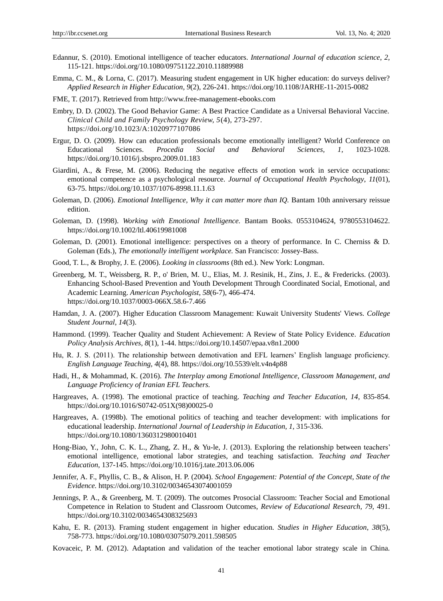- Edannur, S. (2010). Emotional intelligence of teacher educators. *International Journal of education science*, *2,*  115-121. https://doi.org/10.1080/09751122.2010.11889988
- Emma, C. M., & Lorna, C. (2017). Measuring student engagement in UK higher education: do surveys deliver? *Applied Research in Higher Education, 9*(2), 226-241. https://doi.org/10.1108/JARHE-11-2015-0082
- FME, T. (2017). Retrieved from http://www.free-management-ebooks.com
- Embry, D. D. (2002). The Good Behavior Game: A Best Practice Candidate as a Universal Behavioral Vaccine. *Clinical Child and Family Psychology Review, 5*(4)*,* 273-297. https://doi.org/10.1023/A:1020977107086
- Ergur, D. O. (2009). How can education professionals become emotionally intelligent? World Conference on Educational Sciences. *Procedia Social and Behavioral Sciences, 1,* 1023-1028. https://doi.org/10.1016/j.sbspro.2009.01.183
- Giardini, A., & Frese, M. (2006). Reducing the negative effects of emotion work in service occupations: emotional competence as a psychological resource. *Journal of Occupational Health Psychology*, *11*(01), 63-75. https://doi.org/10.1037/1076-8998.11.1.63
- Goleman, D. (2006). *Emotional Intelligence, Why it can matter more than IQ.* Bantam 10th anniversary reissue edition.
- Goleman, D. (1998). *Working with Emotional Intelligence.* Bantam Books. 0553104624, 9780553104622. https://doi.org/10.1002/ltl.40619981008
- Goleman, D. (2001). Emotional intelligence: perspectives on a theory of performance. In C. Cherniss & D. Goleman (Eds.), *The emotionally intelligent workplace.* San Francisco: Jossey-Bass.
- Good, T. L., & Brophy, J. E. (2006). *Looking in classrooms* (8th ed.). New York: Longman.
- Greenberg, M. T., Weissberg, R. P., o' Brien, M. U., Elias, M. J. Resinik, H., Zins, J. E., & Fredericks. (2003). Enhancing School-Based Prevention and Youth Development Through Coordinated Social, Emotional, and Academic Learning. *American Psychologist*, *58*(6-7), 466-474. https://doi.org/10.1037/0003-066X.58.6-7.466
- Hamdan, J. A. (2007). Higher Education Classroom Management: Kuwait University Students' Views. *College Student Journal, 14*(3).
- Hammond. (1999). Teacher Quality and Student Achievement: A Review of State Policy Evidence. *Education Policy Analysis Archives, 8*(1), 1-44. https://doi.org/10.14507/epaa.v8n1.2000
- Hu, R. J. S. (2011). The relationship between demotivation and EFL learners' English language proficiency. *English Language Teaching, 4*(4), 88. https://doi.org/10.5539/elt.v4n4p88
- Hadi, H., & Mohammad, K. (2016). *The Interplay among Emotional Intelligence, Classroom Management, and Language Proficiency of Iranian EFL Teachers.*
- Hargreaves, A. (1998). The emotional practice of teaching. *Teaching and Teacher Education, 14,* 835-854. https://doi.org/10.1016/S0742-051X(98)00025-0
- Hargreaves, A. (1998b). The emotional politics of teaching and teacher development: with implications for educational leadership. *International Journal of Leadership in Education, 1,* 315-336. https://doi.org/10.1080/1360312980010401
- Hong-Biao, Y., John, C. K. L., Zhang, Z. H., & Yu-le, J. (2013). Exploring the relationship between teachers' emotional intelligence, emotional labor strategies, and teaching satisfaction. *Teaching and Teacher Education*, 137-145. https://doi.org/10.1016/j.tate.2013.06.006
- Jennifer, A. F., Phyllis, C. B., & Alison, H. P. (2004). *School Engagement: Potential of the Concept, State of the Evidence.* https://doi.org/10.3102/00346543074001059
- Jennings, P. A., & Greenberg, M. T. (2009). The outcomes Prosocial Classroom: Teacher Social and Emotional Competence in Relation to Student and Classroom Outcomes, *Review of Educational Research, 79,* 491. https://doi.org/10.3102/0034654308325693
- Kahu, E. R. (2013). Framing student engagement in higher education. *Studies in Higher Education*, *38*(5), 758-773. https://doi.org/10.1080/03075079.2011.598505
- Kovaceic, P. M. (2012). Adaptation and validation of the teacher emotional labor strategy scale in China.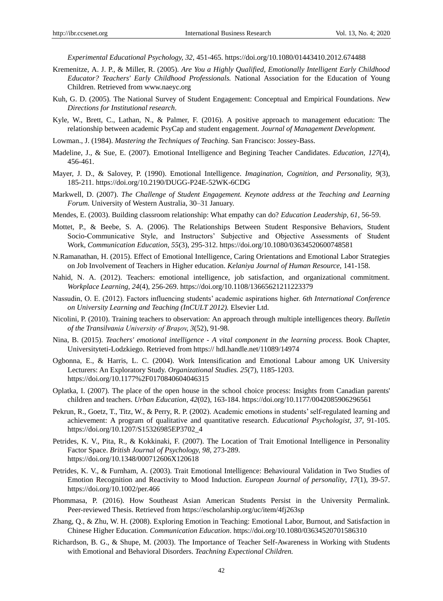*Experimental Educational Psychology, 32*, 451-465. https://doi.org/10.1080/01443410.2012.674488

- Kremenitze, A. J. P., & Miller, R. (2005). *Are You a Highly Qualified, Emotionally Intelligent Early Childhood Educator? Teachers' Early Childhood Professionals.* National Association for the Education of Young Children. Retrieved from www.naeyc.org
- Kuh, G. D. (2005). The National Survey of Student Engagement: Conceptual and Empirical Foundations. *New Directions for Institutional research*.
- Kyle, W., Brett, C., Lathan, N., & [Palmer,](https://www.emerald.com/insight/search?q=Noel%20F.%20Palmer) F. (2016). A positive approach to management education: The relationship between academic PsyCap and student engagement. *Journal of Management Development.*
- Lowman., J. (1984). *Mastering the Techniques of Teaching.* San Francisco: Jossey-Bass.
- Madeline, J., & Sue, E. (2007). Emotional Intelligence and Begining Teacher Candidates. *Education, 127*(4), 456-461.
- Mayer, J. D., & Salovey, P. (1990). Emotional Intelligence. *Imagination, Cognition, and Personality, 9*(3), 185-211. https://doi.org/10.2190/DUGG-P24E-52WK-6CDG
- Markwell, D. (2007). *The Challenge of Student Engagement. Keynote address at the Teaching and Learning Forum.* University of Western Australia, 30–31 January.
- Mendes, E. (2003). Building classroom relationship: What empathy can do? *Education Leadership, 61,* 56-59.
- Mottet, P., & Beebe, S. A. (2006). The Relationships Between Student Responsive Behaviors, Student Socio-Communicative Style, and Instructors' Subjective and Objective Assessments of Student Work, *Communication Education, 55*(3), 295-312. https://doi.org/10.1080/03634520600748581
- N.Ramanathan, H. (2015). Effect of Emotional Intelligence, Caring Orientations and Emotional Labor Strategies on Job Involvement of Teachers in Higher education. *Kelaniya Journal of Human Resource*, 141-158.
- Nahid, N. A. (2012). Teachers: emotional intelligence, job satisfaction, and organizational commitment. *Workplace Learning, 24*(4), 256-269. https://doi.org/10.1108/13665621211223379
- Nassudin, O. E. (2012). Factors influencing students' academic aspirations higher. *6th International Conference on University Learning and Teaching (InCULT 2012).* Elsevier Ltd.
- Nicolini, P. (2010). Training teachers to observation: An approach through multiple intelligences theory. *Bulletin of the Transilvania University of Braşov, 3*(52), 91-98.
- Nina, B. (2015). *Teachers' emotional intelligence - A vital component in the learning process.* Book Chapter, Universityteti-Lodzkiego. Retrieved from https:// hdl.handle.net/11089/14974
- Ogbonna, E., & Harris, L. C. (2004). Work Intensification and Emotional Labour among UK University Lecturers: An Exploratory Study. *Organizational Studies. 25*(7), 1185-1203. https://doi.org/10.1177%2F0170840604046315
- Oplatka, I. (2007). The place of the open house in the school choice process: Insights from Canadian parents' children and teachers. *Urban Education*, *42*(02), 163-184. https://doi.org/10.1177/0042085906296561
- Pekrun, R., Goetz, T., Titz, W., & Perry, R. P. (2002). Academic emotions in students' self-regulated learning and achievement: A program of qualitative and quantitative research. *Educational Psychologist, 37,* 91-105. https://doi.org/10.1207/S15326985EP3702\_4
- Petrides, K. V., Pita, R., & Kokkinaki, F. (2007). The Location of Trait Emotional Intelligence in Personality Factor Space. *British Journal of Psychology, 98,* 273-289. https://doi.org/10.1348/000712606X120618
- Petrides, K. V., & Furnham, A. (2003). Trait Emotional Intelligence: Behavioural Validation in Two Studies of Emotion Recognition and Reactivity to Mood Induction. *European Journal of personality*, *17*(1), 39-57. https://doi.org/10.1002/per.466
- Phommasa, P. (2016). How Southeast Asian American Students Persist in the University Permalink. Peer-reviewed Thesis. Retrieved from https://escholarship.org/uc/item/4fj263sp
- Zhang, Q., & Zhu, W. H. (2008). Exploring Emotion in Teaching: Emotional Labor, Burnout, and Satisfaction in Chinese Higher Education. *Communication Education*. https://doi.org/10.1080/03634520701586310
- Richardson, B. G., & Shupe, M. (2003). The Importance of Teacher Self-Awareness in Working with Students with Emotional and Behavioral Disorders. *Teachning Expectional Children.*